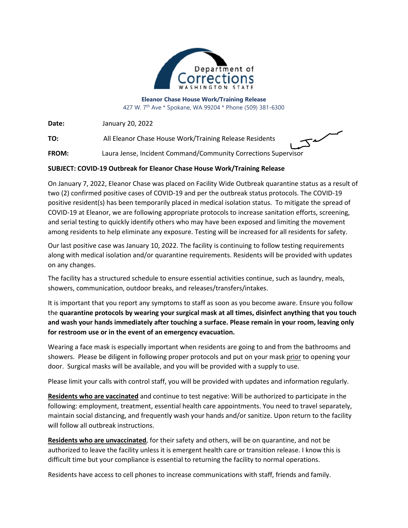

**Eleanor Chase House Work/Training Release** 427 W. 7th Ave \* Spokane, WA 99204 \* Phone (509) 381-6300

**Date:** January 20, 2022

**TO:** All Eleanor Chase House Work/Training Release Residents

**FROM:** Laura Jense, Incident Command/Community Corrections Supervisor

## **SUBJECT: COVID-19 Outbreak for Eleanor Chase House Work/Training Release**

On January 7, 2022, Eleanor Chase was placed on Facility Wide Outbreak quarantine status as a result of two (2) confirmed positive cases of COVID-19 and per the outbreak status protocols. The COVID-19 positive resident(s) has been temporarily placed in medical isolation status. To mitigate the spread of COVID-19 at Eleanor, we are following appropriate protocols to increase sanitation efforts, screening, and serial testing to quickly identify others who may have been exposed and limiting the movement among residents to help eliminate any exposure. Testing will be increased for all residents for safety.

Our last positive case was January 10, 2022. The facility is continuing to follow testing requirements along with medical isolation and/or quarantine requirements. Residents will be provided with updates on any changes.

The facility has a structured schedule to ensure essential activities continue, such as laundry, meals, showers, communication, outdoor breaks, and releases/transfers/intakes.

It is important that you report any symptoms to staff as soon as you become aware. Ensure you follow the **quarantine protocols by wearing your surgical mask at all times, disinfect anything that you touch and wash your hands immediately after touching a surface. Please remain in your room, leaving only for restroom use or in the event of an emergency evacuation.**

Wearing a face mask is especially important when residents are going to and from the bathrooms and showers. Please be diligent in following proper protocols and put on your mask prior to opening your door. Surgical masks will be available, and you will be provided with a supply to use.

Please limit your calls with control staff, you will be provided with updates and information regularly.

**Residents who are vaccinated** and continue to test negative: Will be authorized to participate in the following: employment, treatment, essential health care appointments. You need to travel separately, maintain social distancing, and frequently wash your hands and/or sanitize. Upon return to the facility will follow all outbreak instructions.

**Residents who are unvaccinated**, for their safety and others, will be on quarantine, and not be authorized to leave the facility unless it is emergent health care or transition release. I know this is difficult time but your compliance is essential to returning the facility to normal operations.

Residents have access to cell phones to increase communications with staff, friends and family.